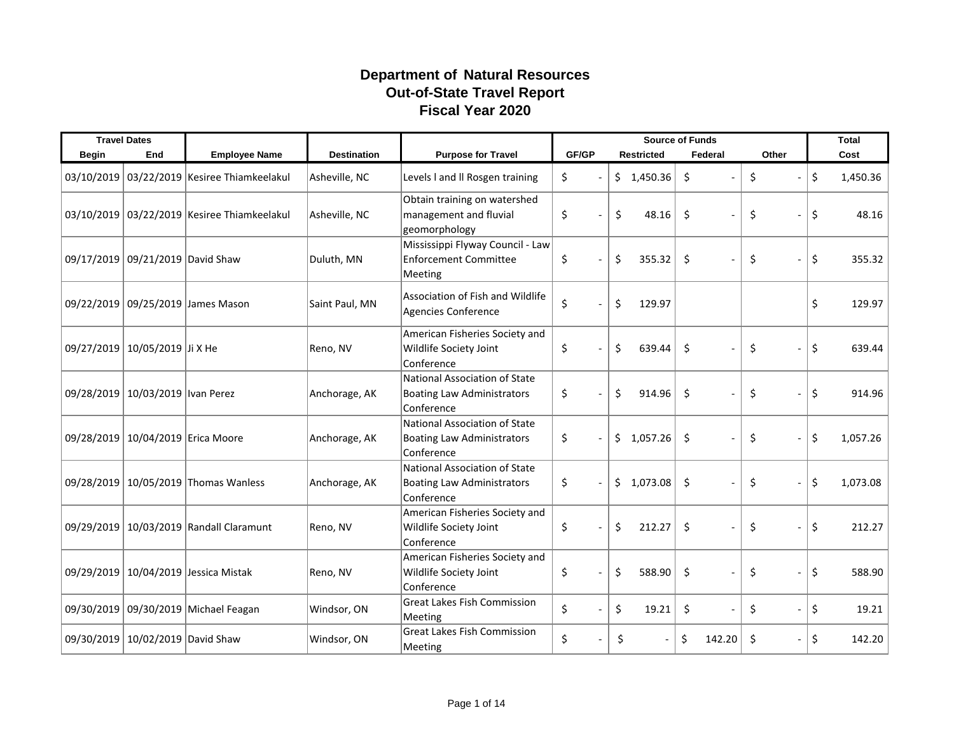## **Department of Natural Resources Out-of-State Travel Report Fiscal Year 2020**

|              | <b>Travel Dates</b>               |                                             |                    |                                                                                  |       |                   | <b>Total</b>                   |                                |                |
|--------------|-----------------------------------|---------------------------------------------|--------------------|----------------------------------------------------------------------------------|-------|-------------------|--------------------------------|--------------------------------|----------------|
| <b>Begin</b> | End                               | <b>Employee Name</b>                        | <b>Destination</b> | <b>Purpose for Travel</b>                                                        | GF/GP | <b>Restricted</b> | Federal                        | Other                          | Cost           |
|              |                                   | 03/10/2019 03/22/2019 Kesiree Thiamkeelakul | Asheville, NC      | Levels I and II Rosgen training                                                  | \$    | \$1,450.36        | \$<br>$\overline{\phantom{a}}$ | \$                             | \$<br>1,450.36 |
|              |                                   | 03/10/2019 03/22/2019 Kesiree Thiamkeelakul | Asheville, NC      | Obtain training on watershed<br>management and fluvial<br>geomorphology          | \$    | \$<br>48.16       | \$                             | \$                             | \$<br>48.16    |
|              | 09/17/2019 09/21/2019 David Shaw  |                                             | Duluth, MN         | Mississippi Flyway Council - Law<br><b>Enforcement Committee</b><br>Meeting      | \$    | \$<br>355.32      | \$                             | \$                             | \$<br>355.32   |
|              |                                   | 09/22/2019 09/25/2019 James Mason           | Saint Paul, MN     | Association of Fish and Wildlife<br>Agencies Conference                          | \$    | \$<br>129.97      |                                |                                | \$<br>129.97   |
|              | 09/27/2019 10/05/2019 Ji X He     |                                             | Reno, NV           | American Fisheries Society and<br>Wildlife Society Joint<br>Conference           | \$    | \$<br>639.44      | \$                             | \$                             | \$<br>639.44   |
|              | 09/28/2019 10/03/2019 Ivan Perez  |                                             | Anchorage, AK      | National Association of State<br><b>Boating Law Administrators</b><br>Conference | \$    | \$<br>914.96      | \$                             | \$<br>$\overline{\phantom{a}}$ | \$<br>914.96   |
|              | 09/28/2019 10/04/2019 Erica Moore |                                             | Anchorage, AK      | National Association of State<br><b>Boating Law Administrators</b><br>Conference | \$    | 1,057.26<br>\$    | \$                             | \$                             | \$<br>1,057.26 |
|              |                                   | 09/28/2019 10/05/2019 Thomas Wanless        | Anchorage, AK      | National Association of State<br><b>Boating Law Administrators</b><br>Conference | \$    | \$<br>1,073.08    | $\zeta$                        | \$<br>$\overline{\phantom{a}}$ | \$<br>1,073.08 |
|              |                                   | 09/29/2019 10/03/2019 Randall Claramunt     | Reno, NV           | American Fisheries Society and<br>Wildlife Society Joint<br>Conference           | \$    | \$<br>212.27      | \$                             | \$<br>$\sim$                   | \$<br>212.27   |
|              |                                   | 09/29/2019 10/04/2019 Jessica Mistak        | Reno, NV           | American Fisheries Society and<br>Wildlife Society Joint<br>Conference           | \$    | \$<br>588.90      | \$                             | \$<br>$\overline{\phantom{a}}$ | \$<br>588.90   |
|              |                                   | 09/30/2019 09/30/2019 Michael Feagan        | Windsor, ON        | <b>Great Lakes Fish Commission</b><br>Meeting                                    | \$    | \$<br>19.21       | \$                             | \$                             | \$<br>19.21    |
|              | 09/30/2019 10/02/2019 David Shaw  |                                             | Windsor, ON        | <b>Great Lakes Fish Commission</b><br>Meeting                                    | \$    | \$                | \$<br>142.20                   | \$                             | \$<br>142.20   |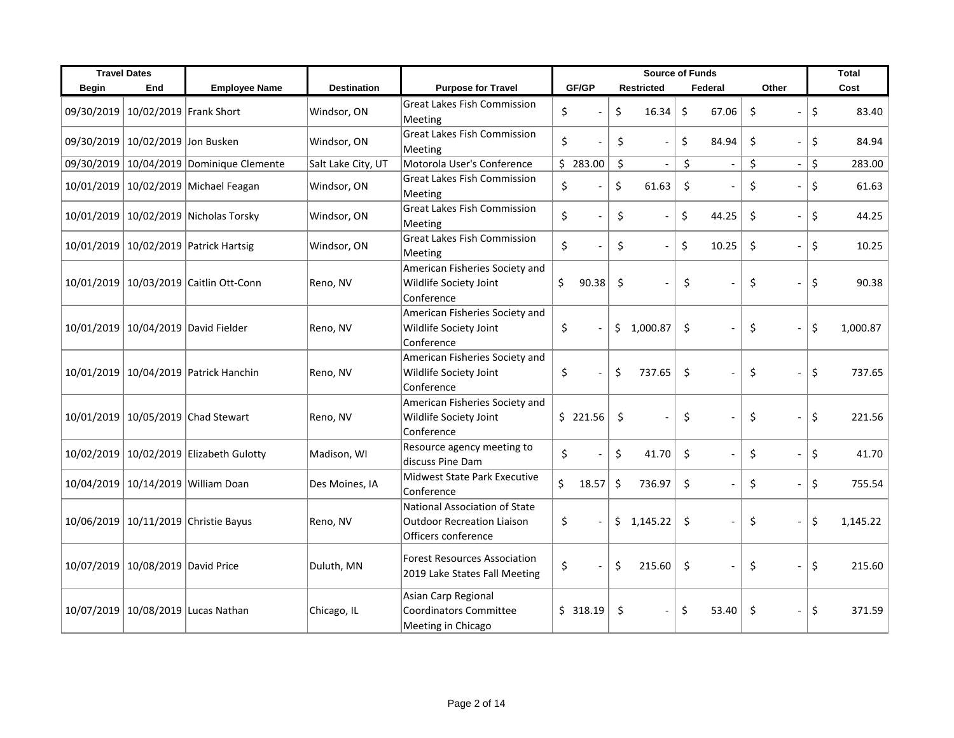|              | <b>Travel Dates</b>               |                                          |                    |                                                                                           | <b>Source of Funds</b> |                                     |             |                                     | Total          |
|--------------|-----------------------------------|------------------------------------------|--------------------|-------------------------------------------------------------------------------------------|------------------------|-------------------------------------|-------------|-------------------------------------|----------------|
| <b>Begin</b> | End                               | <b>Employee Name</b>                     | <b>Destination</b> | <b>Purpose for Travel</b>                                                                 | GF/GP                  | <b>Restricted</b>                   | Federal     | Other                               | Cost           |
|              | 09/30/2019 10/02/2019 Frank Short |                                          | Windsor, ON        | <b>Great Lakes Fish Commission</b><br>Meeting                                             | \$                     | \$<br>16.34                         | \$<br>67.06 | \$                                  | \$<br>83.40    |
|              | 09/30/2019 10/02/2019 Jon Busken  |                                          | Windsor, ON        | <b>Great Lakes Fish Commission</b><br>Meeting                                             | \$                     | \$                                  | \$<br>84.94 | \$<br>$\overline{a}$                | \$<br>84.94    |
|              |                                   | 09/30/2019 10/04/2019 Dominique Clemente | Salt Lake City, UT | Motorola User's Conference                                                                | \$283.00               | $\zeta$<br>$\overline{\phantom{a}}$ | \$          | \$<br>$\overline{\phantom{a}}$      | \$<br>283.00   |
|              |                                   | 10/01/2019 10/02/2019 Michael Feagan     | Windsor, ON        | <b>Great Lakes Fish Commission</b><br>Meeting                                             | \$                     | \$<br>61.63                         | \$          | \$<br>$\overline{a}$                | \$<br>61.63    |
|              |                                   | 10/01/2019 10/02/2019 Nicholas Torsky    | Windsor, ON        | <b>Great Lakes Fish Commission</b><br>Meeting                                             | \$                     | \$                                  | \$<br>44.25 | $\zeta$<br>$\overline{\phantom{a}}$ | \$<br>44.25    |
|              |                                   | 10/01/2019 10/02/2019 Patrick Hartsig    | Windsor, ON        | <b>Great Lakes Fish Commission</b><br>Meeting                                             | \$                     | \$                                  | \$<br>10.25 | \$<br>$\overline{a}$                | \$<br>10.25    |
|              |                                   | 10/01/2019 10/03/2019 Caitlin Ott-Conn   | Reno, NV           | American Fisheries Society and<br>Wildlife Society Joint<br>Conference                    | \$<br>90.38            | \$                                  | \$          | \$<br>$\overline{a}$                | \$<br>90.38    |
|              |                                   | 10/01/2019 10/04/2019 David Fielder      | Reno, NV           | American Fisheries Society and<br>Wildlife Society Joint<br>Conference                    | \$                     | \$<br>1,000.87                      | \$          | \$<br>$\blacksquare$                | \$<br>1,000.87 |
|              |                                   | 10/01/2019 10/04/2019 Patrick Hanchin    | Reno, NV           | American Fisheries Society and<br>Wildlife Society Joint<br>Conference                    | \$                     | \$<br>737.65                        | \$          | \$<br>$\overline{\phantom{a}}$      | \$<br>737.65   |
|              |                                   | 10/01/2019 10/05/2019 Chad Stewart       | Reno, NV           | American Fisheries Society and<br>Wildlife Society Joint<br>Conference                    | \$221.56               | \$<br>$\overline{\phantom{a}}$      | \$          | \$<br>$\overline{a}$                | \$<br>221.56   |
|              |                                   | 10/02/2019 10/02/2019 Elizabeth Gulotty  | Madison, WI        | Resource agency meeting to<br>discuss Pine Dam                                            | \$                     | \$<br>41.70                         | \$          | \$<br>$\overline{a}$                | \$<br>41.70    |
|              |                                   | 10/04/2019 10/14/2019 William Doan       | Des Moines, IA     | <b>Midwest State Park Executive</b><br>Conference                                         | \$<br>18.57            | \$<br>736.97                        | $\zeta$     | \$<br>$\overline{a}$                | \$<br>755.54   |
|              |                                   | 10/06/2019 10/11/2019 Christie Bayus     | Reno, NV           | National Association of State<br><b>Outdoor Recreation Liaison</b><br>Officers conference | \$                     | \$<br>1,145.22                      | \$          | \$<br>$\overline{a}$                | \$<br>1,145.22 |
|              | 10/07/2019 10/08/2019 David Price |                                          | Duluth, MN         | <b>Forest Resources Association</b><br>2019 Lake States Fall Meeting                      | \$                     | \$<br>215.60                        | \$          | \$<br>$\overline{\phantom{a}}$      | \$<br>215.60   |
|              |                                   | 10/07/2019   10/08/2019 Lucas Nathan     | Chicago, IL        | Asian Carp Regional<br><b>Coordinators Committee</b><br>Meeting in Chicago                | \$318.19               | \$                                  | \$<br>53.40 | \$<br>$\overline{a}$                | \$<br>371.59   |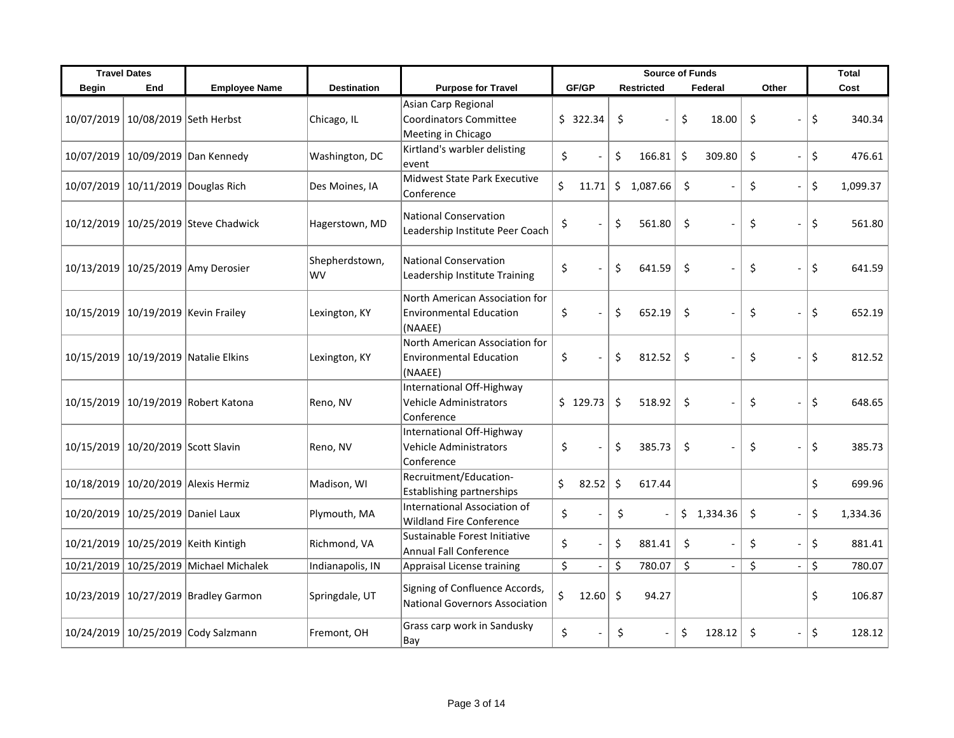|              | <b>Travel Dates</b>                     |                                         |                      |                                                                             | <b>Source of Funds</b> |                          |         |                   |         | <b>Total</b>             |    |                              |                |
|--------------|-----------------------------------------|-----------------------------------------|----------------------|-----------------------------------------------------------------------------|------------------------|--------------------------|---------|-------------------|---------|--------------------------|----|------------------------------|----------------|
| <b>Begin</b> | End                                     | <b>Employee Name</b>                    | <b>Destination</b>   | <b>Purpose for Travel</b>                                                   |                        | GF/GP                    |         | <b>Restricted</b> |         | Federal                  |    | Other                        | Cost           |
|              | 10/07/2019 10/08/2019 Seth Herbst       |                                         | Chicago, IL          | Asian Carp Regional<br><b>Coordinators Committee</b><br>Meeting in Chicago  |                        | \$322.34                 | \$      |                   | \$      | 18.00                    | \$ | $\overline{a}$               | \$<br>340.34   |
|              |                                         | 10/07/2019 10/09/2019 Dan Kennedy       | Washington, DC       | Kirtland's warbler delisting<br>event                                       | \$                     |                          | \$      | 166.81            | \$      | 309.80                   | \$ | $\overline{a}$               | \$<br>476.61   |
|              | 10/07/2019 10/11/2019 Douglas Rich      |                                         | Des Moines, IA       | <b>Midwest State Park Executive</b><br>Conference                           | \$                     | 11.71                    | \$      | 1,087.66          | $\zeta$ |                          | \$ | $\overline{a}$               | \$<br>1,099.37 |
|              |                                         | 10/12/2019 10/25/2019 Steve Chadwick    | Hagerstown, MD       | <b>National Conservation</b><br>Leadership Institute Peer Coach             | \$                     |                          | \$      | 561.80            | \$      |                          | \$ | $\overline{\phantom{a}}$     | \$<br>561.80   |
|              |                                         | 10/13/2019 10/25/2019 Amy Derosier      | Shepherdstown,<br>WV | <b>National Conservation</b><br>Leadership Institute Training               | \$                     |                          | \$      | 641.59            | \$      |                          | \$ | $\overline{a}$               | \$<br>641.59   |
|              | 10/15/2019   10/19/2019   Kevin Frailey |                                         | Lexington, KY        | North American Association for<br><b>Environmental Education</b><br>(NAAEE) | \$                     |                          | \$      | 652.19            | \$      |                          | \$ | $\overline{a}$               | \$<br>652.19   |
|              |                                         | 10/15/2019 10/19/2019 Natalie Elkins    | Lexington, KY        | North American Association for<br><b>Environmental Education</b><br>(NAAEE) | \$                     |                          | \$      | 812.52            | \$      |                          | \$ | $\overline{a}$               | \$<br>812.52   |
|              |                                         | 10/15/2019   10/19/2019   Robert Katona | Reno, NV             | International Off-Highway<br><b>Vehicle Administrators</b><br>Conference    |                        | \$129.73                 | \$      | 518.92            | \$      |                          | \$ | $\overline{a}$               | \$<br>648.65   |
|              | 10/15/2019 10/20/2019 Scott Slavin      |                                         | Reno, NV             | International Off-Highway<br>Vehicle Administrators<br>Conference           | \$                     |                          | \$      | 385.73            | \$      |                          | \$ |                              | \$<br>385.73   |
|              |                                         | 10/18/2019 10/20/2019 Alexis Hermiz     | Madison, WI          | Recruitment/Education-<br><b>Establishing partnerships</b>                  | \$                     | 82.52                    | \$      | 617.44            |         |                          |    |                              | \$<br>699.96   |
|              | 10/20/2019 10/25/2019 Daniel Laux       |                                         | Plymouth, MA         | International Association of<br><b>Wildland Fire Conference</b>             | \$                     | $\overline{\phantom{a}}$ | \$      |                   |         | \$1,334.36               | \$ | $\frac{1}{2}$                | \$<br>1,334.36 |
|              | 10/21/2019 10/25/2019 Keith Kintigh     |                                         | Richmond, VA         | Sustainable Forest Initiative<br><b>Annual Fall Conference</b>              | \$                     | $\sim$                   | \$      | 881.41            | \$      |                          | \$ | $\overline{a}$               | \$<br>881.41   |
|              |                                         | 10/21/2019 10/25/2019 Michael Michalek  | Indianapolis, IN     | Appraisal License training                                                  | \$                     | $\overline{\phantom{a}}$ | \$      | 780.07            | \$      | $\overline{\phantom{a}}$ | \$ | $\qquad \qquad \blacksquare$ | \$<br>780.07   |
|              |                                         | 10/23/2019 10/27/2019 Bradley Garmon    | Springdale, UT       | Signing of Confluence Accords,<br><b>National Governors Association</b>     | \$                     | 12.60                    | $\zeta$ | 94.27             |         |                          |    |                              | \$<br>106.87   |
|              |                                         | 10/24/2019 10/25/2019 Cody Salzmann     | Fremont, OH          | Grass carp work in Sandusky<br>Bay                                          | \$                     |                          | Ś.      |                   | Ś.      | 128.12                   | Ŝ. | $\frac{1}{2}$                | \$<br>128.12   |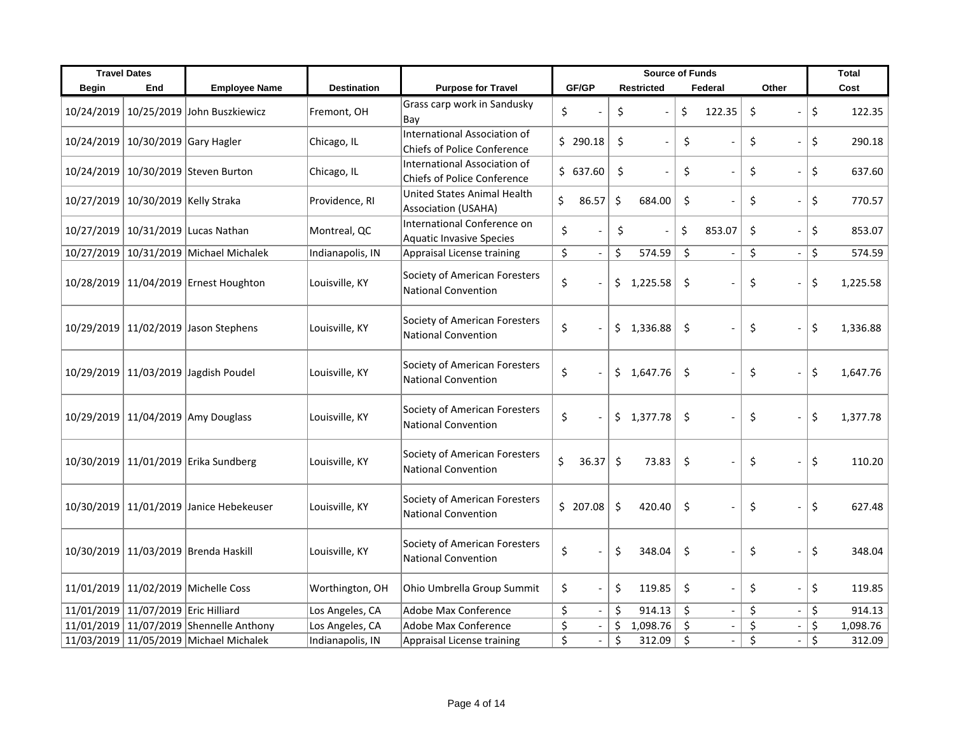|              | <b>Travel Dates</b>                 |                                         |                    |                                                                    | <b>Source of Funds</b>         |                                |                      | <b>Total</b>                   |                |
|--------------|-------------------------------------|-----------------------------------------|--------------------|--------------------------------------------------------------------|--------------------------------|--------------------------------|----------------------|--------------------------------|----------------|
| <b>Begin</b> | End                                 | <b>Employee Name</b>                    | <b>Destination</b> | <b>Purpose for Travel</b>                                          | GF/GP                          | <b>Restricted</b>              | Federal              | Other                          | Cost           |
| 10/24/2019   |                                     | 10/25/2019 John Buszkiewicz             | Fremont, OH        | Grass carp work in Sandusky<br>Bay                                 | \$                             | \$                             | \$<br>122.35         | \$                             | \$<br>122.35   |
|              | 10/24/2019   10/30/2019 Gary Hagler |                                         | Chicago, IL        | International Association of<br><b>Chiefs of Police Conference</b> | \$290.18                       | \$                             | \$                   | \$<br>$\overline{a}$           | \$<br>290.18   |
|              |                                     | 10/24/2019 10/30/2019 Steven Burton     | Chicago, IL        | International Association of<br><b>Chiefs of Police Conference</b> | \$637.60                       | \$<br>$\overline{\phantom{a}}$ | \$<br>$\sim$         | \$<br>$\blacksquare$           | \$<br>637.60   |
|              | 10/27/2019 10/30/2019 Kelly Straka  |                                         | Providence, RI     | United States Animal Health<br>Association (USAHA)                 | \$<br>86.57                    | \$<br>684.00                   | \$                   | \$<br>$\overline{a}$           | \$<br>770.57   |
|              |                                     | 10/27/2019 10/31/2019 Lucas Nathan      | Montreal, QC       | International Conference on<br><b>Aquatic Invasive Species</b>     | \$<br>$\overline{a}$           | \$                             | \$<br>853.07         | \$<br>$\overline{a}$           | \$<br>853.07   |
|              |                                     | 10/27/2019 10/31/2019 Michael Michalek  | Indianapolis, IN   | Appraisal License training                                         | \$<br>$\overline{\phantom{a}}$ | \$<br>574.59                   | \$                   | \$<br>$\overline{\phantom{a}}$ | \$<br>574.59   |
|              |                                     | 10/28/2019 11/04/2019 Ernest Houghton   | Louisville, KY     | Society of American Foresters<br><b>National Convention</b>        | \$                             | 1,225.58<br>\$                 | \$                   | \$<br>$\overline{a}$           | \$<br>1,225.58 |
|              |                                     | 10/29/2019 11/02/2019 Jason Stephens    | Louisville, KY     | Society of American Foresters<br><b>National Convention</b>        | \$                             | \$<br>1,336.88                 | \$                   | \$<br>$\overline{a}$           | \$<br>1,336.88 |
|              |                                     | 10/29/2019 11/03/2019 Jagdish Poudel    | Louisville, KY     | Society of American Foresters<br><b>National Convention</b>        | \$                             | \$<br>1,647.76                 | \$                   | \$<br>$\overline{a}$           | \$<br>1,647.76 |
|              |                                     | 10/29/2019 11/04/2019 Amy Douglass      | Louisville, KY     | Society of American Foresters<br><b>National Convention</b>        | \$                             | \$1,377.78                     | \$                   | \$<br>$\overline{a}$           | \$<br>1,377.78 |
|              |                                     | 10/30/2019 11/01/2019 Erika Sundberg    | Louisville, KY     | Society of American Foresters<br><b>National Convention</b>        | \$<br>36.37                    | \$<br>73.83                    | \$                   | \$                             | \$<br>110.20   |
|              |                                     | 10/30/2019 11/01/2019 Janice Hebekeuser | Louisville, KY     | Society of American Foresters<br><b>National Convention</b>        | \$207.08                       | \$<br>420.40                   | \$                   | \$<br>$\blacksquare$           | \$<br>627.48   |
|              |                                     | 10/30/2019 11/03/2019 Brenda Haskill    | Louisville, KY     | Society of American Foresters<br><b>National Convention</b>        | \$                             | \$<br>348.04                   | \$                   | \$<br>$\overline{a}$           | \$<br>348.04   |
|              |                                     | 11/01/2019 11/02/2019 Michelle Coss     | Worthington, OH    | Ohio Umbrella Group Summit                                         | \$                             | \$<br>119.85                   | \$<br>$\overline{a}$ | \$<br>$\blacksquare$           | \$<br>119.85   |
|              | 11/01/2019 11/07/2019 Eric Hilliard |                                         | Los Angeles, CA    | Adobe Max Conference                                               | \$                             | \$<br>914.13                   | \$                   | \$<br>$\overline{a}$           | \$<br>914.13   |
|              |                                     | 11/01/2019 11/07/2019 Shennelle Anthony | Los Angeles, CA    | Adobe Max Conference                                               | \$                             | \$<br>1,098.76                 | \$                   | \$<br>$\overline{\phantom{a}}$ | \$<br>1,098.76 |
|              |                                     | 11/03/2019 11/05/2019 Michael Michalek  | Indianapolis, IN   | Appraisal License training                                         | \$                             | \$<br>312.09                   | \$<br>$\overline{a}$ | \$<br>$\frac{1}{2}$            | \$<br>312.09   |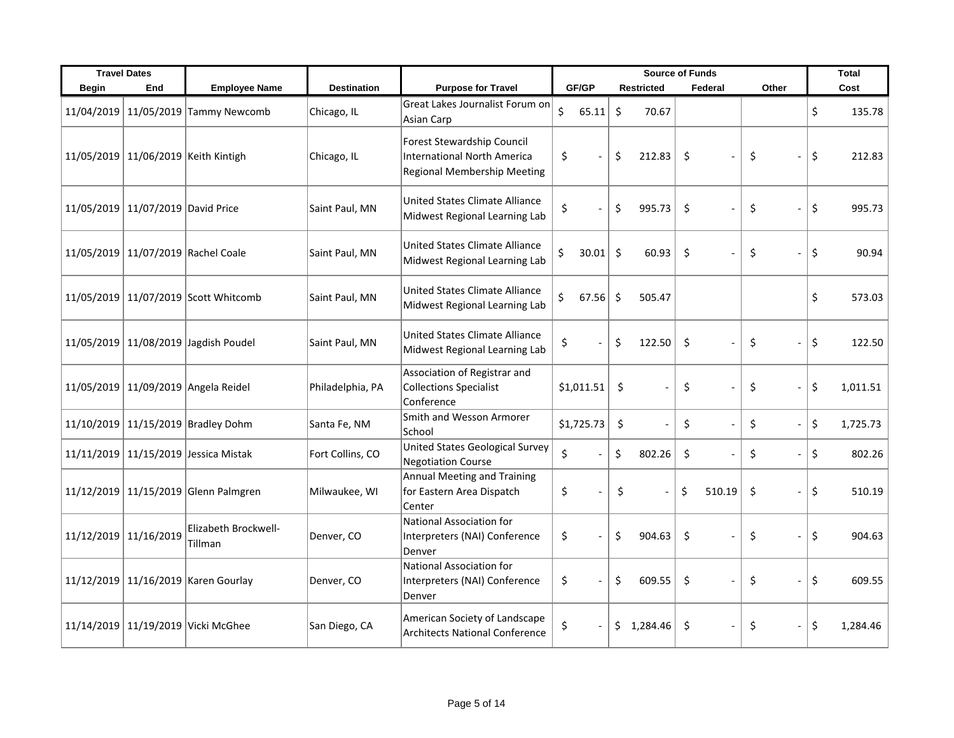|                       | <b>Travel Dates</b>               |                                      |                    |                                                                                                 | <b>Source of Funds</b> |         |                   | <b>Total</b>                   |                                |                |
|-----------------------|-----------------------------------|--------------------------------------|--------------------|-------------------------------------------------------------------------------------------------|------------------------|---------|-------------------|--------------------------------|--------------------------------|----------------|
| <b>Begin</b>          | End                               | <b>Employee Name</b>                 | <b>Destination</b> | <b>Purpose for Travel</b>                                                                       | GF/GP                  |         | <b>Restricted</b> | Federal                        | Other                          | Cost           |
| 11/04/2019            |                                   | $11/05/2019$ Tammy Newcomb           | Chicago, IL        | Great Lakes Journalist Forum on<br>Asian Carp                                                   | \$<br>65.11            | \$      | 70.67             |                                |                                | \$<br>135.78   |
|                       |                                   | 11/05/2019 11/06/2019 Keith Kintigh  | Chicago, IL        | Forest Stewardship Council<br>International North America<br><b>Regional Membership Meeting</b> | \$                     | \$      | 212.83            | \$                             | \$<br>$\overline{a}$           | \$<br>212.83   |
|                       | 11/05/2019 11/07/2019 David Price |                                      | Saint Paul, MN     | United States Climate Alliance<br>Midwest Regional Learning Lab                                 | \$                     | \$      | 995.73            | \$<br>$\overline{a}$           | \$<br>$\overline{a}$           | \$<br>995.73   |
|                       |                                   | 11/05/2019 11/07/2019 Rachel Coale   | Saint Paul, MN     | United States Climate Alliance<br>Midwest Regional Learning Lab                                 | \$<br>30.01            | $\zeta$ | 60.93             | \$<br>$\overline{\phantom{a}}$ | $\zeta$<br>$\overline{a}$      | \$<br>90.94    |
|                       |                                   | 11/05/2019 11/07/2019 Scott Whitcomb | Saint Paul, MN     | United States Climate Alliance<br>Midwest Regional Learning Lab                                 | \$<br>67.56            | \$      | 505.47            |                                |                                | \$<br>573.03   |
|                       |                                   | 11/05/2019 11/08/2019 Jagdish Poudel | Saint Paul, MN     | United States Climate Alliance<br>Midwest Regional Learning Lab                                 | \$                     | \$      | 122.50            | \$                             | \$<br>$\overline{a}$           | \$<br>122.50   |
|                       |                                   | 11/05/2019 11/09/2019 Angela Reidel  | Philadelphia, PA   | Association of Registrar and<br><b>Collections Specialist</b><br>Conference                     | \$1,011.51             | \$      |                   | \$                             | \$<br>$\overline{a}$           | \$<br>1,011.51 |
|                       |                                   | 11/10/2019 11/15/2019 Bradley Dohm   | Santa Fe, NM       | Smith and Wesson Armorer<br>School                                                              | \$1,725.73             | \$      |                   | \$<br>$\overline{a}$           | \$<br>$\overline{a}$           | \$<br>1,725.73 |
|                       |                                   | 11/11/2019 11/15/2019 Jessica Mistak | Fort Collins, CO   | United States Geological Survey<br><b>Negotiation Course</b>                                    | \$                     | \$      | 802.26            | \$<br>$\overline{a}$           | \$<br>$\overline{a}$           | \$<br>802.26   |
|                       |                                   | 11/12/2019 11/15/2019 Glenn Palmgren | Milwaukee, WI      | Annual Meeting and Training<br>for Eastern Area Dispatch<br>Center                              | \$                     | \$      |                   | \$<br>510.19                   | \$<br>$\overline{\phantom{0}}$ | \$<br>510.19   |
| 11/12/2019 11/16/2019 |                                   | Elizabeth Brockwell-<br>Tillman      | Denver, CO         | National Association for<br>Interpreters (NAI) Conference<br>Denver                             | \$                     | \$      | 904.63            | \$                             | \$<br>$\overline{a}$           | \$<br>904.63   |
|                       |                                   | 11/12/2019 11/16/2019 Karen Gourlay  | Denver, CO         | National Association for<br>Interpreters (NAI) Conference<br>Denver                             | \$                     | \$      | 609.55            | \$                             | \$<br>$\overline{a}$           | \$<br>609.55   |
|                       |                                   | 11/14/2019 11/19/2019 Vicki McGhee   | San Diego, CA      | American Society of Landscape<br><b>Architects National Conference</b>                          | \$                     | \$      | 1,284.46          | \$<br>$\overline{\phantom{a}}$ | \$<br>$\overline{a}$           | \$<br>1,284.46 |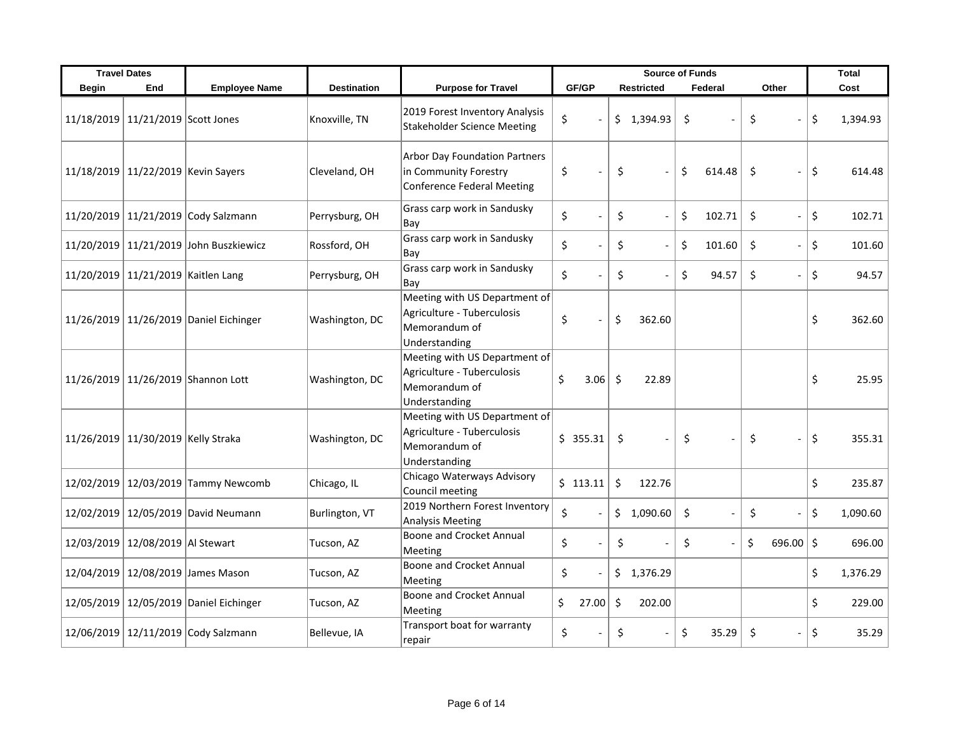|              | <b>Travel Dates</b>                |                                        |                    |                                                                                               | <b>Source of Funds</b> |                                |              | Total                          |                |
|--------------|------------------------------------|----------------------------------------|--------------------|-----------------------------------------------------------------------------------------------|------------------------|--------------------------------|--------------|--------------------------------|----------------|
| <b>Begin</b> | End                                | <b>Employee Name</b>                   | <b>Destination</b> | <b>Purpose for Travel</b>                                                                     | GF/GP                  | <b>Restricted</b>              | Federal      | Other                          | Cost           |
|              | 11/18/2019 11/21/2019 Scott Jones  |                                        | Knoxville, TN      | 2019 Forest Inventory Analysis<br><b>Stakeholder Science Meeting</b>                          | \$                     | \$1,394.93                     | \$           | \$                             | \$<br>1,394.93 |
|              | 11/18/2019 11/22/2019 Kevin Sayers |                                        | Cleveland, OH      | <b>Arbor Day Foundation Partners</b><br>in Community Forestry<br>Conference Federal Meeting   | \$                     | \$                             | \$<br>614.48 | Ŝ.                             | \$<br>614.48   |
|              |                                    | 11/20/2019 11/21/2019 Cody Salzmann    | Perrysburg, OH     | Grass carp work in Sandusky<br>Bay                                                            | \$                     | \$<br>$\overline{\phantom{a}}$ | \$<br>102.71 | \$<br>$\overline{\phantom{a}}$ | \$<br>102.71   |
|              |                                    | 11/20/2019 11/21/2019 John Buszkiewicz | Rossford, OH       | Grass carp work in Sandusky<br>Bay                                                            | \$                     | \$                             | \$<br>101.60 | \$<br>$\blacksquare$           | \$<br>101.60   |
|              | 11/20/2019 11/21/2019 Kaitlen Lang |                                        | Perrysburg, OH     | Grass carp work in Sandusky<br>Bay                                                            | \$                     | \$                             | \$<br>94.57  | $\zeta$<br>$\overline{a}$      | \$<br>94.57    |
|              |                                    | 11/26/2019 11/26/2019 Daniel Eichinger | Washington, DC     | Meeting with US Department of<br>Agriculture - Tuberculosis<br>Memorandum of<br>Understanding | \$                     | \$<br>362.60                   |              |                                | \$<br>362.60   |
|              |                                    | 11/26/2019 11/26/2019 Shannon Lott     | Washington, DC     | Meeting with US Department of<br>Agriculture - Tuberculosis<br>Memorandum of<br>Understanding | \$<br>3.06             | \$<br>22.89                    |              |                                | \$<br>25.95    |
|              | 11/26/2019 11/30/2019 Kelly Straka |                                        | Washington, DC     | Meeting with US Department of<br>Agriculture - Tuberculosis<br>Memorandum of<br>Understanding | \$355.31               | $\zeta$                        | \$           | \$<br>$\overline{a}$           | \$<br>355.31   |
|              |                                    | 12/02/2019 12/03/2019 Tammy Newcomb    | Chicago, IL        | Chicago Waterways Advisory<br>Council meeting                                                 | \$113.11               | \$<br>122.76                   |              |                                | \$<br>235.87   |
|              |                                    | 12/02/2019 12/05/2019 David Neumann    | Burlington, VT     | 2019 Northern Forest Inventory<br>Analysis Meeting                                            | \$                     | \$<br>1,090.60                 | \$           | \$<br>$\overline{a}$           | \$<br>1,090.60 |
|              | 12/03/2019 12/08/2019 Al Stewart   |                                        | Tucson, AZ         | Boone and Crocket Annual<br>Meeting                                                           | \$<br>$\sim$           | \$                             | \$           | \$<br>696.00                   | \$<br>696.00   |
|              |                                    | 12/04/2019 12/08/2019 James Mason      | Tucson, AZ         | <b>Boone and Crocket Annual</b><br>Meeting                                                    | \$                     | \$1,376.29                     |              |                                | \$<br>1,376.29 |
|              |                                    | 12/05/2019 12/05/2019 Daniel Eichinger | Tucson, AZ         | <b>Boone and Crocket Annual</b><br>Meeting                                                    | \$<br>27.00            | \$<br>202.00                   |              |                                | \$<br>229.00   |
|              |                                    | 12/06/2019 12/11/2019 Cody Salzmann    | Bellevue, IA       | Transport boat for warranty<br>repair                                                         | \$                     | \$                             | \$<br>35.29  | \$                             | \$<br>35.29    |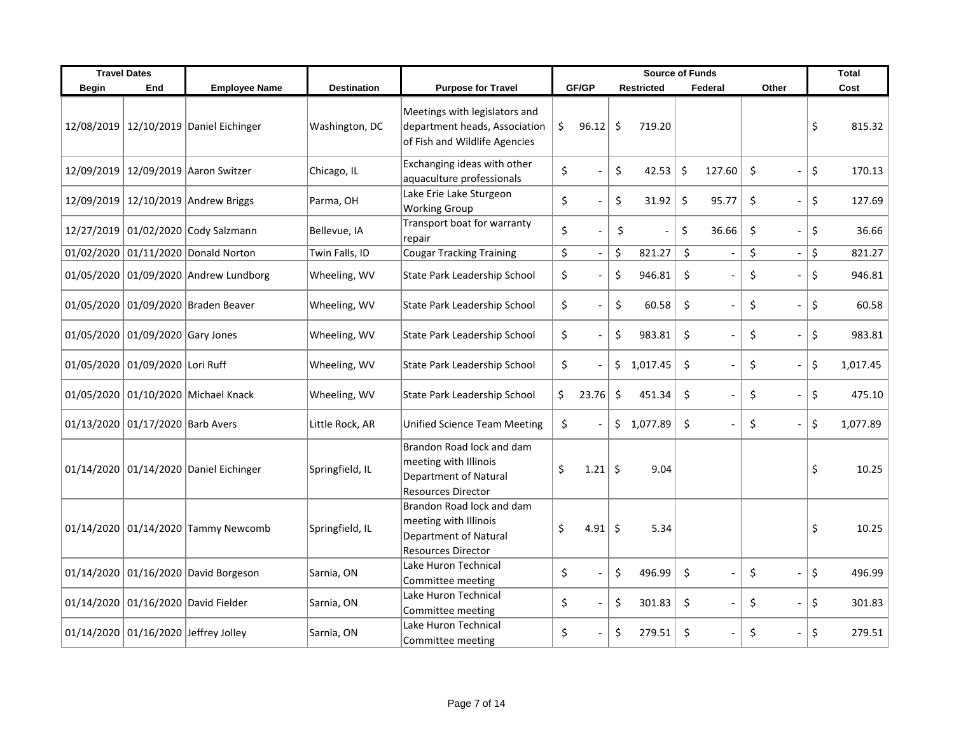|              | <b>Travel Dates</b>              |                                         |                    |                                                                                                          | <b>Source of Funds</b> |                          |    |                   | <b>Total</b> |                |                                |                |
|--------------|----------------------------------|-----------------------------------------|--------------------|----------------------------------------------------------------------------------------------------------|------------------------|--------------------------|----|-------------------|--------------|----------------|--------------------------------|----------------|
| <b>Begin</b> | End                              | <b>Employee Name</b>                    | <b>Destination</b> | <b>Purpose for Travel</b>                                                                                |                        | GF/GP                    |    | <b>Restricted</b> |              | Federal        | Other                          | Cost           |
|              |                                  | 12/08/2019 12/10/2019 Daniel Eichinger  | Washington, DC     | Meetings with legislators and<br>department heads, Association<br>of Fish and Wildlife Agencies          | \$                     | 96.12                    | \$ | 719.20            |              |                |                                | \$<br>815.32   |
|              |                                  | 12/09/2019   12/09/2019   Aaron Switzer | Chicago, IL        | Exchanging ideas with other<br>aquaculture professionals                                                 | \$                     |                          | \$ | 42.53             | \$           | 127.60         | \$<br>$\blacksquare$           | \$<br>170.13   |
|              |                                  | 12/09/2019 12/10/2019 Andrew Briggs     | Parma, OH          | Lake Erie Lake Sturgeon<br><b>Working Group</b>                                                          | \$                     |                          | \$ | 31.92             | \$           | 95.77          | \$<br>$\blacksquare$           | \$<br>127.69   |
|              |                                  | 12/27/2019 01/02/2020 Cody Salzmann     | Bellevue, IA       | Transport boat for warranty<br>repair                                                                    | \$                     | $\overline{a}$           | \$ |                   | \$           | 36.66          | \$                             | \$<br>36.66    |
|              |                                  | 01/02/2020 01/11/2020 Donald Norton     | Twin Falls, ID     | Cougar Tracking Training                                                                                 | \$                     | $\overline{\phantom{a}}$ | \$ | 821.27            | $\zeta$      | $\overline{a}$ | \$<br>$\overline{\phantom{a}}$ | \$<br>821.27   |
|              |                                  | 01/05/2020 01/09/2020 Andrew Lundborg   | Wheeling, WV       | State Park Leadership School                                                                             | \$                     |                          | \$ | 946.81            | \$           |                | \$                             | \$<br>946.81   |
|              |                                  | 01/05/2020 01/09/2020 Braden Beaver     | Wheeling, WV       | State Park Leadership School                                                                             | \$                     |                          | \$ | 60.58             | \$           |                | \$                             | \$<br>60.58    |
|              | 01/05/2020 01/09/2020 Gary Jones |                                         | Wheeling, WV       | State Park Leadership School                                                                             | \$                     |                          | \$ | 983.81            | \$           |                | \$                             | \$<br>983.81   |
|              | 01/05/2020 01/09/2020 Lori Ruff  |                                         | Wheeling, WV       | State Park Leadership School                                                                             | \$                     |                          | \$ | 1,017.45          | \$           |                | \$                             | \$<br>1,017.45 |
|              |                                  | 01/05/2020 01/10/2020 Michael Knack     | Wheeling, WV       | State Park Leadership School                                                                             | \$                     | 23.76                    | \$ | 451.34            | \$           |                | \$                             | \$<br>475.10   |
|              | 01/13/2020 01/17/2020 Barb Avers |                                         | Little Rock, AR    | Unified Science Team Meeting                                                                             | \$                     |                          |    | \$1,077.89        | \$           |                | \$                             | \$<br>1,077.89 |
|              |                                  | 01/14/2020 01/14/2020 Daniel Eichinger  | Springfield, IL    | Brandon Road lock and dam<br>meeting with Illinois<br>Department of Natural<br><b>Resources Director</b> | \$                     | 1.21                     | \$ | 9.04              |              |                |                                | \$<br>10.25    |
|              |                                  | 01/14/2020 01/14/2020 Tammy Newcomb     | Springfield, IL    | Brandon Road lock and dam<br>meeting with Illinois<br>Department of Natural<br><b>Resources Director</b> | \$                     | 4.91                     | \$ | 5.34              |              |                |                                | \$<br>10.25    |
|              |                                  | 01/14/2020 01/16/2020 David Borgeson    | Sarnia, ON         | Lake Huron Technical<br>Committee meeting                                                                | \$                     | $\overline{\phantom{a}}$ | \$ | 496.99            | \$           |                | \$                             | \$<br>496.99   |
|              |                                  | 01/14/2020 01/16/2020 David Fielder     | Sarnia, ON         | Lake Huron Technical<br>Committee meeting                                                                | \$                     |                          | \$ | 301.83            | \$           |                | \$                             | \$<br>301.83   |
|              |                                  | 01/14/2020 01/16/2020 Jeffrey Jolley    | Sarnia, ON         | Lake Huron Technical<br>Committee meeting                                                                | \$                     |                          | \$ | 279.51            | \$           |                | \$                             | \$<br>279.51   |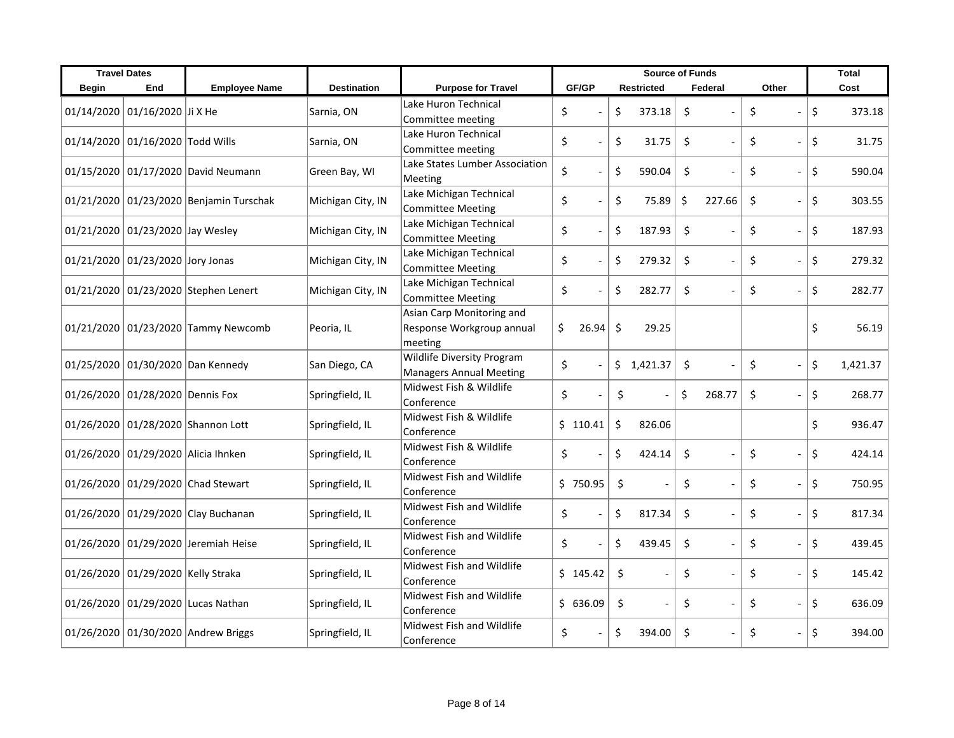|              | <b>Travel Dates</b>                 |                                         |                    |                                                                   | <b>Source of Funds</b> |                   |              |                                                            |    | <b>Total</b> |
|--------------|-------------------------------------|-----------------------------------------|--------------------|-------------------------------------------------------------------|------------------------|-------------------|--------------|------------------------------------------------------------|----|--------------|
| <b>Begin</b> | End                                 | <b>Employee Name</b>                    | <b>Destination</b> | <b>Purpose for Travel</b>                                         | GF/GP                  | <b>Restricted</b> | Federal      | Other                                                      |    | Cost         |
| 01/14/2020   | 01/16/2020 Ji X He                  |                                         | Sarnia, ON         | Lake Huron Technical<br>Committee meeting                         | \$                     | \$<br>373.18      | \$           | \$                                                         | \$ | 373.18       |
|              | 01/14/2020 01/16/2020 Todd Wills    |                                         | Sarnia, ON         | Lake Huron Technical<br>Committee meeting                         | \$                     | \$<br>31.75       | \$           | \$<br>$\overline{a}$                                       | \$ | 31.75        |
|              |                                     | 01/15/2020 01/17/2020 David Neumann     | Green Bay, WI      | Lake States Lumber Association<br>Meeting                         | \$                     | \$<br>590.04      | $\zeta$      | \$<br>$\overline{a}$                                       | \$ | 590.04       |
|              |                                     | 01/21/2020 01/23/2020 Benjamin Turschak | Michigan City, IN  | Lake Michigan Technical<br><b>Committee Meeting</b>               | \$                     | \$<br>75.89       | \$<br>227.66 | \$<br>$\overline{a}$                                       | \$ | 303.55       |
|              | 01/21/2020 01/23/2020 Jay Wesley    |                                         | Michigan City, IN  | Lake Michigan Technical<br>Committee Meeting                      | \$                     | \$<br>187.93      | \$           | \$<br>$\overline{\phantom{a}}$                             | \$ | 187.93       |
|              | 01/21/2020 01/23/2020 Jory Jonas    |                                         | Michigan City, IN  | Lake Michigan Technical<br><b>Committee Meeting</b>               | \$                     | \$<br>279.32      | $\zeta$      | \$<br>$\overline{\phantom{a}}$<br>$\overline{\phantom{a}}$ | \$ | 279.32       |
|              |                                     | 01/21/2020 01/23/2020 Stephen Lenert    | Michigan City, IN  | Lake Michigan Technical<br><b>Committee Meeting</b>               | \$                     | \$<br>282.77      | $\zeta$      | \$<br>$\overline{a}$                                       | \$ | 282.77       |
|              |                                     | 01/21/2020 01/23/2020 Tammy Newcomb     | Peoria, IL         | Asian Carp Monitoring and<br>Response Workgroup annual<br>meeting | \$.<br>26.94           | \$<br>29.25       |              |                                                            | \$ | 56.19        |
|              |                                     | 01/25/2020 01/30/2020 Dan Kennedy       | San Diego, CA      | <b>Wildlife Diversity Program</b><br>Managers Annual Meeting      | \$                     | \$<br>1,421.37    | \$           | \$<br>$\overline{a}$<br>$\overline{a}$                     | \$ | 1,421.37     |
|              | 01/26/2020 01/28/2020 Dennis Fox    |                                         | Springfield, IL    | Midwest Fish & Wildlife<br>Conference                             | \$<br>$\sim$           | \$                | Ś.<br>268.77 | \$                                                         | \$ | 268.77       |
|              |                                     | 01/26/2020 01/28/2020 Shannon Lott      | Springfield, IL    | Midwest Fish & Wildlife<br>Conference                             | \$110.41               | \$<br>826.06      |              |                                                            | Ś. | 936.47       |
|              | 01/26/2020 01/29/2020 Alicia Ihnken |                                         | Springfield, IL    | Midwest Fish & Wildlife<br>Conference                             | \$                     | \$<br>424.14      | \$           | \$<br>$\overline{a}$                                       | \$ | 424.14       |
|              |                                     | 01/26/2020 01/29/2020 Chad Stewart      | Springfield, IL    | <b>Midwest Fish and Wildlife</b><br>Conference                    | \$750.95               | \$                | \$           | \$<br>$\overline{a}$                                       | \$ | 750.95       |
|              |                                     | 01/26/2020 01/29/2020 Clay Buchanan     | Springfield, IL    | Midwest Fish and Wildlife<br>Conference                           | \$                     | \$<br>817.34      | \$           | \$<br>$\overline{a}$                                       | \$ | 817.34       |
|              |                                     | 01/26/2020 01/29/2020 Jeremiah Heise    | Springfield, IL    | Midwest Fish and Wildlife<br>Conference                           | \$                     | \$<br>439.45      | \$           | \$<br>$\overline{a}$                                       | \$ | 439.45       |
|              | 01/26/2020 01/29/2020 Kelly Straka  |                                         | Springfield, IL    | Midwest Fish and Wildlife<br>Conference                           | \$145.42               | \$                | \$           | \$<br>$\overline{a}$                                       | Ś. | 145.42       |
|              |                                     | 01/26/2020 01/29/2020 Lucas Nathan      | Springfield, IL    | Midwest Fish and Wildlife<br>Conference                           | \$636.09               | \$                | \$           | \$<br>$\overline{a}$                                       | \$ | 636.09       |
|              |                                     | 01/26/2020 01/30/2020 Andrew Briggs     | Springfield, IL    | Midwest Fish and Wildlife<br>Conference                           | \$                     | \$<br>394.00      | \$           | \$<br>$\overline{a}$                                       | \$ | 394.00       |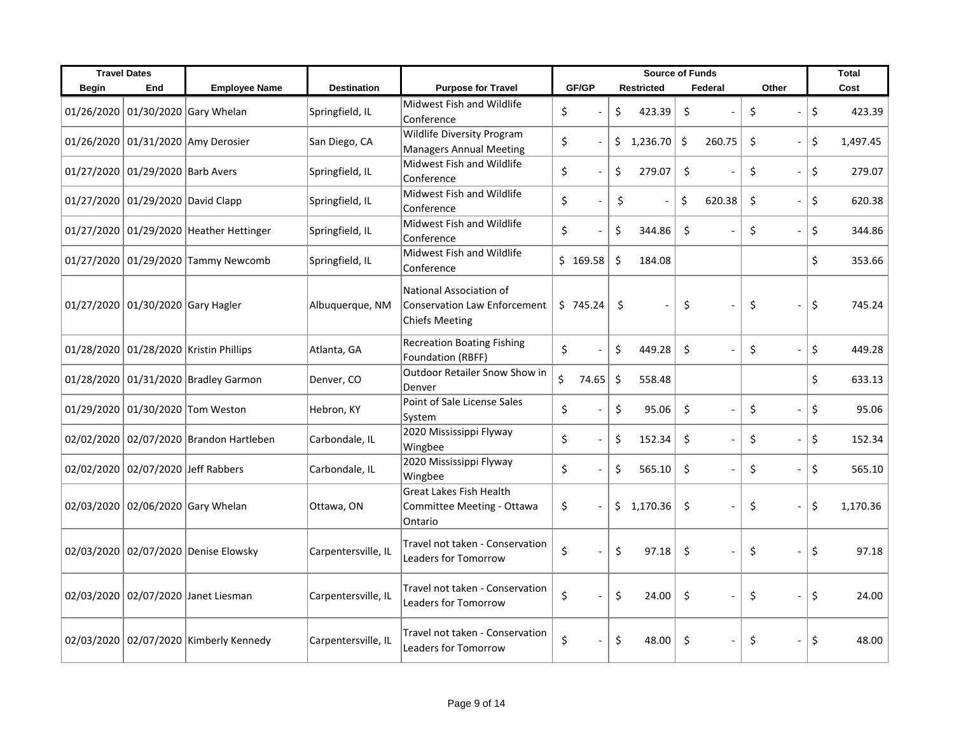|              | <b>Travel Dates</b>                |                                            |                     |                                                                                  | <b>Source of Funds</b> |                   |                   |                                | <b>Total</b> |          |
|--------------|------------------------------------|--------------------------------------------|---------------------|----------------------------------------------------------------------------------|------------------------|-------------------|-------------------|--------------------------------|--------------|----------|
| <b>Begin</b> | End                                | <b>Employee Name</b>                       | <b>Destination</b>  | <b>Purpose for Travel</b>                                                        | GF/GP                  | <b>Restricted</b> | Federal           | Other                          |              | Cost     |
|              |                                    | 01/26/2020 01/30/2020 Gary Whelan          | Springfield, IL     | Midwest Fish and Wildlife<br>Conference                                          | \$                     | \$<br>423.39      | \$                | \$<br>$\overline{\phantom{a}}$ | \$           | 423.39   |
|              |                                    | 01/26/2020 01/31/2020 Amy Derosier         | San Diego, CA       | Wildlife Diversity Program<br><b>Managers Annual Meeting</b>                     | \$<br>$\overline{a}$   | \$<br>1,236.70    | $\zeta$<br>260.75 | \$<br>$\frac{1}{2}$            | \$           | 1,497.45 |
|              | 01/27/2020 01/29/2020 Barb Avers   |                                            | Springfield, IL     | Midwest Fish and Wildlife<br>Conference                                          | \$<br>$\sim$           | \$<br>279.07      | \$                | \$<br>$\overline{\phantom{a}}$ | \$           | 279.07   |
|              | 01/27/2020 01/29/2020 David Clapp  |                                            | Springfield, IL     | Midwest Fish and Wildlife<br>Conference                                          | \$                     | \$                | \$<br>620.38      | \$<br>$\overline{a}$           | Ś.           | 620.38   |
|              |                                    | 01/27/2020 01/29/2020 Heather Hettinger    | Springfield, IL     | <b>Midwest Fish and Wildlife</b><br>Conference                                   | \$                     | \$<br>344.86      | $\zeta$           | \$<br>$\overline{a}$           | \$           | 344.86   |
|              |                                    | 01/27/2020 01/29/2020 Tammy Newcomb        | Springfield, IL     | Midwest Fish and Wildlife<br>Conference                                          | \$169.58               | \$<br>184.08      |                   |                                | \$           | 353.66   |
|              | 01/27/2020 01/30/2020 Gary Hagler  |                                            | Albuquerque, NM     | National Association of<br><b>Conservation Law Enforcement</b><br>Chiefs Meeting | \$745.24               | \$                | \$                | \$<br>$\frac{1}{2}$            | \$           | 745.24   |
|              |                                    | 01/28/2020 01/28/2020 Kristin Phillips     | Atlanta, GA         | <b>Recreation Boating Fishing</b><br><b>Foundation (RBFF)</b>                    | \$                     | \$<br>449.28      | \$<br>$\sim$      | \$<br>$\overline{a}$           | \$           | 449.28   |
|              |                                    | 01/28/2020 01/31/2020 Bradley Garmon       | Denver, CO          | <b>Outdoor Retailer Snow Show in</b><br>Denver                                   | \$<br>74.65            | \$<br>558.48      |                   |                                | \$           | 633.13   |
|              |                                    | 01/29/2020 01/30/2020 Tom Weston           | Hebron, KY          | Point of Sale License Sales<br>System                                            | \$                     | \$<br>95.06       | \$                | \$<br>$\overline{a}$           | \$           | 95.06    |
|              |                                    | 02/02/2020 02/07/2020 Brandon Hartleben    | Carbondale, IL      | 2020 Mississippi Flyway<br>Wingbee                                               | \$                     | \$<br>152.34      | $\zeta$           | \$<br>$\overline{\phantom{a}}$ | \$           | 152.34   |
|              | 02/02/2020 02/07/2020 Jeff Rabbers |                                            | Carbondale, IL      | 2020 Mississippi Flyway<br>Wingbee                                               | \$                     | \$<br>565.10      | \$                | \$<br>$\overline{a}$           | \$           | 565.10   |
|              |                                    | 02/03/2020 02/06/2020 Gary Whelan          | Ottawa, ON          | <b>Great Lakes Fish Health</b><br>Committee Meeting - Ottawa<br>Ontario          | \$                     | \$1,170.36        | -\$               | \$<br>$\frac{1}{2}$            | \$           | 1,170.36 |
|              |                                    | 02/03/2020 02/07/2020 Denise Elowsky       | Carpentersville, IL | Travel not taken - Conservation<br><b>Leaders for Tomorrow</b>                   | \$                     | \$<br>97.18       | \$                | \$                             | \$           | 97.18    |
|              |                                    | 02/03/2020 02/07/2020 Janet Liesman        | Carpentersville, IL | Travel not taken - Conservation<br><b>Leaders for Tomorrow</b>                   | \$                     | \$<br>24.00       | \$                | \$<br>$\overline{a}$           | \$           | 24.00    |
|              |                                    | 02/03/2020   02/07/2020   Kimberly Kennedy | Carpentersville, IL | Travel not taken - Conservation<br><b>Leaders for Tomorrow</b>                   | \$                     | \$<br>48.00       | \$                | \$<br>$\overline{a}$           | \$           | 48.00    |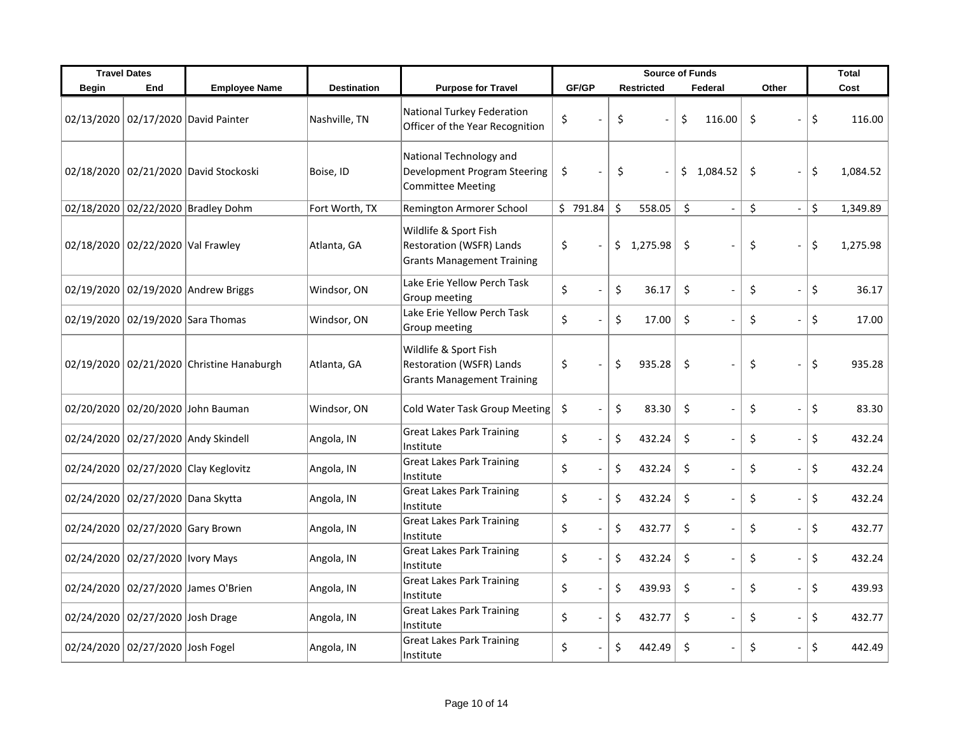|              | <b>Travel Dates</b>               |                                           |                    |                                                                                        | <b>Source of Funds</b>         |    |                   |    | <b>Total</b>             |       |                          |                |
|--------------|-----------------------------------|-------------------------------------------|--------------------|----------------------------------------------------------------------------------------|--------------------------------|----|-------------------|----|--------------------------|-------|--------------------------|----------------|
| <b>Begin</b> | End                               | <b>Employee Name</b>                      | <b>Destination</b> | <b>Purpose for Travel</b>                                                              | GF/GP                          |    | <b>Restricted</b> |    | Federal                  | Other |                          | Cost           |
|              |                                   | 02/13/2020 02/17/2020 David Painter       | Nashville, TN      | National Turkey Federation<br>Officer of the Year Recognition                          | \$                             | \$ |                   | \$ | 116.00                   | \$    |                          | \$<br>116.00   |
|              |                                   | 02/18/2020 02/21/2020 David Stockoski     | Boise, ID          | National Technology and<br>Development Program Steering<br><b>Committee Meeting</b>    | \$                             | \$ |                   | \$ | 1,084.52                 | \$    | $\blacksquare$           | \$<br>1,084.52 |
|              |                                   | 02/18/2020 02/22/2020 Bradley Dohm        | Fort Worth, TX     | Remington Armorer School                                                               | \$791.84                       | \$ | 558.05            | \$ | $\sim$                   | \$    | $\overline{\phantom{a}}$ | \$<br>1,349.89 |
|              | 02/18/2020 02/22/2020 Val Frawley |                                           | Atlanta, GA        | Wildlife & Sport Fish<br>Restoration (WSFR) Lands<br><b>Grants Management Training</b> | \$                             | \$ | 1,275.98          | \$ |                          | \$    | $\overline{a}$           | \$<br>1,275.98 |
|              |                                   | 02/19/2020 02/19/2020 Andrew Briggs       | Windsor, ON        | Lake Erie Yellow Perch Task<br>Group meeting                                           | \$                             | \$ | 36.17             | \$ |                          | \$    | $\overline{a}$           | \$<br>36.17    |
|              | 02/19/2020 02/19/2020 Sara Thomas |                                           | Windsor, ON        | Lake Erie Yellow Perch Task<br>Group meeting                                           | \$                             | \$ | 17.00             | \$ |                          | \$    | $\overline{a}$           | \$<br>17.00    |
|              |                                   | 02/19/2020 02/21/2020 Christine Hanaburgh | Atlanta, GA        | Wildlife & Sport Fish<br>Restoration (WSFR) Lands<br><b>Grants Management Training</b> | \$                             | \$ | 935.28            | \$ |                          | \$    | $\overline{a}$           | \$<br>935.28   |
|              |                                   | 02/20/2020 02/20/2020 John Bauman         | Windsor, ON        | Cold Water Task Group Meeting                                                          | \$                             | \$ | 83.30             | \$ |                          | \$    | $\blacksquare$           | \$<br>83.30    |
|              |                                   | 02/24/2020 02/27/2020 Andy Skindell       | Angola, IN         | <b>Great Lakes Park Training</b><br>Institute                                          | \$                             | \$ | 432.24            | \$ |                          | \$    | $\overline{a}$           | \$<br>432.24   |
|              |                                   | 02/24/2020 02/27/2020 Clay Keglovitz      | Angola, IN         | <b>Great Lakes Park Training</b><br>Institute                                          | \$                             | \$ | 432.24            | \$ |                          | \$    | $\overline{\phantom{a}}$ | \$<br>432.24   |
|              | 02/24/2020 02/27/2020 Dana Skytta |                                           | Angola, IN         | <b>Great Lakes Park Training</b><br>Institute                                          | \$                             | \$ | 432.24            | \$ |                          | \$    | $\overline{a}$           | \$<br>432.24   |
|              | 02/24/2020 02/27/2020 Gary Brown  |                                           | Angola, IN         | <b>Great Lakes Park Training</b><br>Institute                                          | \$                             | \$ | 432.77            | \$ |                          | \$    | $\overline{a}$           | \$<br>432.77   |
|              | 02/24/2020 02/27/2020 Ivory Mays  |                                           | Angola, IN         | <b>Great Lakes Park Training</b><br>Institute                                          | \$<br>$\overline{\phantom{a}}$ | \$ | 432.24            | \$ | $\overline{\phantom{a}}$ | \$    | $\overline{\phantom{a}}$ | \$<br>432.24   |
|              |                                   | 02/24/2020 02/27/2020 James O'Brien       | Angola, IN         | <b>Great Lakes Park Training</b><br>Institute                                          | \$                             | \$ | 439.93            | \$ | $\sim$                   | \$    | $\overline{a}$           | \$<br>439.93   |
|              | 02/24/2020 02/27/2020 Josh Drage  |                                           | Angola, IN         | <b>Great Lakes Park Training</b><br>Institute                                          | \$                             | \$ | 432.77            | \$ |                          | \$    | $\overline{a}$           | \$<br>432.77   |
|              | 02/24/2020 02/27/2020 Josh Fogel  |                                           | Angola, IN         | <b>Great Lakes Park Training</b><br>Institute                                          | \$                             | \$ | 442.49            | \$ |                          | \$    | $\overline{a}$           | \$<br>442.49   |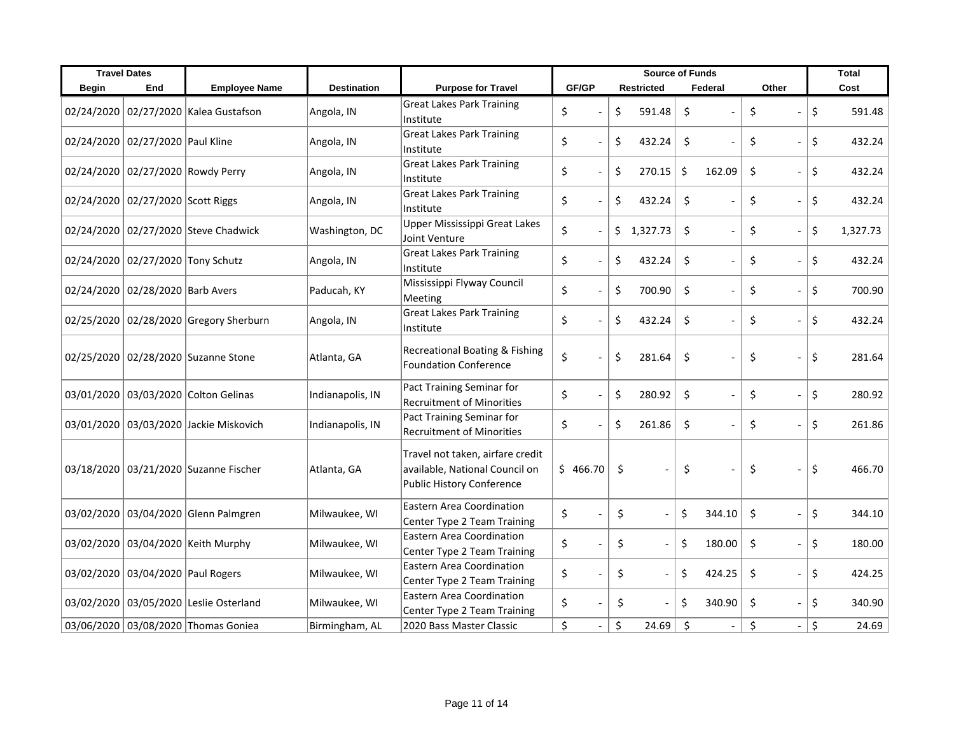|       | <b>Travel Dates</b>               |                                        |                    |                                                                                                 | <b>Source of Funds</b>         |                   |                           |       | <b>Total</b>   |
|-------|-----------------------------------|----------------------------------------|--------------------|-------------------------------------------------------------------------------------------------|--------------------------------|-------------------|---------------------------|-------|----------------|
| Begin | End                               | <b>Employee Name</b>                   | <b>Destination</b> | <b>Purpose for Travel</b>                                                                       | GF/GP                          | <b>Restricted</b> | Federal                   | Other | Cost           |
|       |                                   | 02/24/2020 02/27/2020 Kalea Gustafson  | Angola, IN         | <b>Great Lakes Park Training</b><br>Institute                                                   | \$                             | \$<br>591.48      | \$                        | \$    | \$<br>591.48   |
|       | 02/24/2020 02/27/2020 Paul Kline  |                                        | Angola, IN         | <b>Great Lakes Park Training</b><br>Institute                                                   | \$                             | 432.24<br>\$      | \$                        | \$    | \$<br>432.24   |
|       |                                   | 02/24/2020 02/27/2020 Rowdy Perry      | Angola, IN         | <b>Great Lakes Park Training</b><br>Institute                                                   | \$                             | \$<br>270.15      | \$<br>162.09              | \$    | \$<br>432.24   |
|       | 02/24/2020 02/27/2020 Scott Riggs |                                        | Angola, IN         | <b>Great Lakes Park Training</b><br>Institute                                                   | \$                             | \$<br>432.24      | $\ddot{\varsigma}$        | \$    | \$<br>432.24   |
|       |                                   | 02/24/2020 02/27/2020 Steve Chadwick   | Washington, DC     | Upper Mississippi Great Lakes<br>Joint Venture                                                  | \$                             | \$<br>1,327.73    | \$                        | \$    | \$<br>1,327.73 |
|       | 02/24/2020 02/27/2020 Tony Schutz |                                        | Angola, IN         | <b>Great Lakes Park Training</b><br>Institute                                                   | \$                             | \$<br>432.24      | \$                        | \$    | \$<br>432.24   |
|       | 02/24/2020 02/28/2020 Barb Avers  |                                        | Paducah, KY        | Mississippi Flyway Council<br>Meeting                                                           | \$                             | \$<br>700.90      | $\zeta$                   | \$    | \$<br>700.90   |
|       |                                   | 02/25/2020 02/28/2020 Gregory Sherburn | Angola, IN         | <b>Great Lakes Park Training</b><br>Institute                                                   | \$                             | \$<br>432.24      | $\zeta$<br>$\overline{a}$ | \$    | \$<br>432.24   |
|       |                                   | 02/25/2020 02/28/2020 Suzanne Stone    | Atlanta, GA        | <b>Recreational Boating &amp; Fishing</b><br><b>Foundation Conference</b>                       | \$                             | \$<br>281.64      | \$                        | \$    | \$<br>281.64   |
|       |                                   | 03/01/2020 03/03/2020 Colton Gelinas   | Indianapolis, IN   | Pact Training Seminar for<br><b>Recruitment of Minorities</b>                                   | \$                             | \$<br>280.92      | \$                        | \$    | \$<br>280.92   |
|       |                                   | 03/01/2020 03/03/2020 Jackie Miskovich | Indianapolis, IN   | Pact Training Seminar for<br><b>Recruitment of Minorities</b>                                   | \$                             | \$<br>261.86      | $\zeta$                   | \$    | \$<br>261.86   |
|       |                                   | 03/18/2020 03/21/2020 Suzanne Fischer  | Atlanta, GA        | Travel not taken, airfare credit<br>available, National Council on<br>Public History Conference | \$466.70                       | \$                | \$                        | \$    | \$<br>466.70   |
|       |                                   | 03/02/2020 03/04/2020 Glenn Palmgren   | Milwaukee, WI      | Eastern Area Coordination<br>Center Type 2 Team Training                                        | \$                             | \$                | \$<br>344.10              | \$    | \$<br>344.10   |
|       |                                   | 03/02/2020 03/04/2020 Keith Murphy     | Milwaukee, WI      | Eastern Area Coordination<br>Center Type 2 Team Training                                        | \$                             | \$                | \$<br>180.00              | \$    | \$<br>180.00   |
|       | 03/02/2020 03/04/2020 Paul Rogers |                                        | Milwaukee, WI      | <b>Eastern Area Coordination</b><br>Center Type 2 Team Training                                 | \$                             | \$                | \$<br>424.25              | \$    | \$<br>424.25   |
|       |                                   | 03/02/2020 03/05/2020 Leslie Osterland | Milwaukee, WI      | Eastern Area Coordination<br>Center Type 2 Team Training                                        | \$                             | \$                | \$<br>340.90              | \$    | \$<br>340.90   |
|       |                                   | 03/06/2020 03/08/2020 Thomas Goniea    | Birmingham, AL     | 2020 Bass Master Classic                                                                        | \$<br>$\overline{\phantom{a}}$ | \$<br>24.69       | \$                        | \$    | \$<br>24.69    |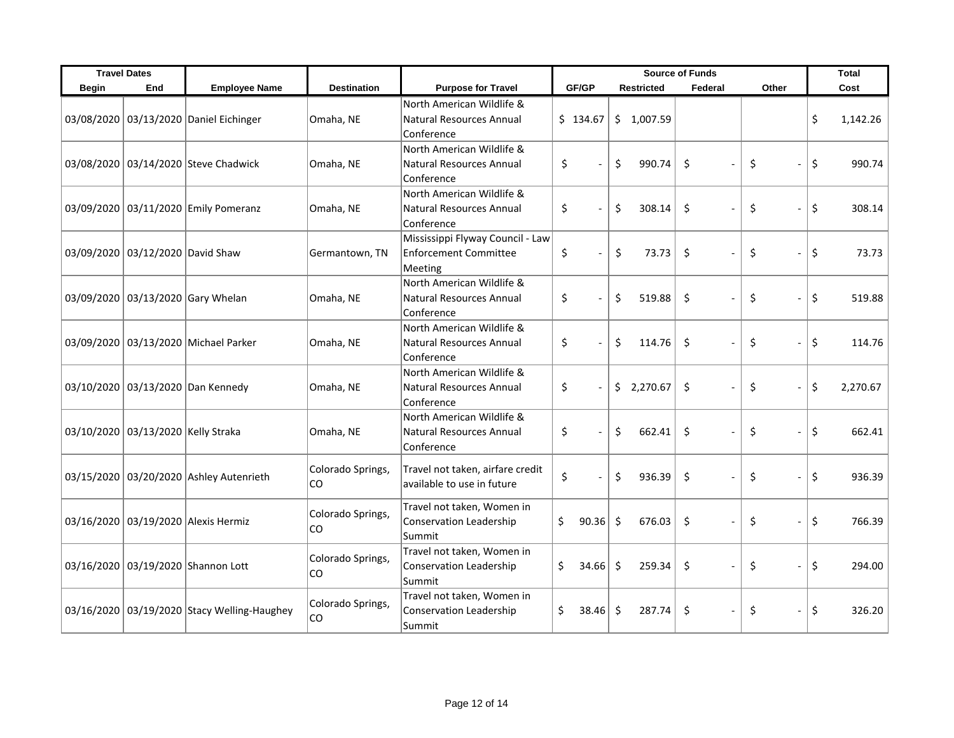|              | <b>Travel Dates</b>                |                                             |                         |                                                                             | <b>Source of Funds</b> |                   |              |                      | <b>Total</b>   |
|--------------|------------------------------------|---------------------------------------------|-------------------------|-----------------------------------------------------------------------------|------------------------|-------------------|--------------|----------------------|----------------|
| <b>Begin</b> | End                                | <b>Employee Name</b>                        | <b>Destination</b>      | <b>Purpose for Travel</b>                                                   | GF/GP                  | <b>Restricted</b> | Federal      | Other                | Cost           |
|              |                                    | 03/08/2020 03/13/2020 Daniel Eichinger      | Omaha, NE               | North American Wildlife &<br>Natural Resources Annual<br>Conference         | \$134.67               | \$1,007.59        |              |                      | \$<br>1,142.26 |
|              |                                    | 03/08/2020 03/14/2020 Steve Chadwick        | Omaha, NE               | North American Wildlife &<br>Natural Resources Annual<br>Conference         | \$                     | \$<br>990.74      | \$           | \$<br>$\overline{a}$ | \$<br>990.74   |
|              |                                    | 03/09/2020 03/11/2020 Emily Pomeranz        | Omaha, NE               | North American Wildlife &<br>Natural Resources Annual<br>Conference         | \$                     | \$<br>308.14      | \$           | \$<br>$\overline{a}$ | \$<br>308.14   |
|              | 03/09/2020 03/12/2020 David Shaw   |                                             | Germantown, TN          | Mississippi Flyway Council - Law<br><b>Enforcement Committee</b><br>Meeting | \$                     | \$<br>73.73       | \$           | \$<br>$\overline{a}$ | \$<br>73.73    |
|              |                                    | 03/09/2020 03/13/2020 Gary Whelan           | Omaha, NE               | North American Wildlife &<br>Natural Resources Annual<br>Conference         | \$                     | \$<br>519.88      | $\zeta$      | \$<br>$\overline{a}$ | \$<br>519.88   |
|              |                                    | 03/09/2020 03/13/2020 Michael Parker        | Omaha, NE               | North American Wildlife &<br>Natural Resources Annual<br>Conference         | \$                     | \$<br>114.76      | $\zeta$      | \$<br>$\frac{1}{2}$  | \$<br>114.76   |
|              |                                    | 03/10/2020 03/13/2020 Dan Kennedy           | Omaha, NE               | North American Wildlife &<br>Natural Resources Annual<br>Conference         | \$                     | \$2,270.67        | \$           | \$<br>$\overline{a}$ | \$<br>2,270.67 |
|              | 03/10/2020 03/13/2020 Kelly Straka |                                             | Omaha, NE               | North American Wildlife &<br>Natural Resources Annual<br>Conference         | \$                     | \$<br>662.41      | \$           | \$<br>$\frac{1}{2}$  | \$<br>662.41   |
|              |                                    | 03/15/2020 03/20/2020 Ashley Autenrieth     | Colorado Springs,<br>CO | Travel not taken, airfare credit<br>available to use in future              | \$                     | \$<br>936.39      | \$           | \$<br>$\overline{a}$ | \$<br>936.39   |
|              |                                    | 03/16/2020 03/19/2020 Alexis Hermiz         | Colorado Springs,<br>CO | Travel not taken, Women in<br>Conservation Leadership<br>Summit             | \$<br>90.36            | \$<br>676.03      | \$           | \$<br>$\frac{1}{2}$  | \$<br>766.39   |
|              |                                    | 03/16/2020 03/19/2020 Shannon Lott          | Colorado Springs,<br>CO | Travel not taken, Women in<br><b>Conservation Leadership</b><br>Summit      | \$<br>34.66            | \$<br>259.34      | \$           | \$<br>$\frac{1}{2}$  | \$<br>294.00   |
|              |                                    | 03/16/2020 03/19/2020 Stacy Welling-Haughey | Colorado Springs,<br>CO | Travel not taken, Women in<br><b>Conservation Leadership</b><br>Summit      | \$<br>38.46            | Ŝ.<br>287.74      | \$<br>$\sim$ | \$<br>$\frac{1}{2}$  | \$<br>326.20   |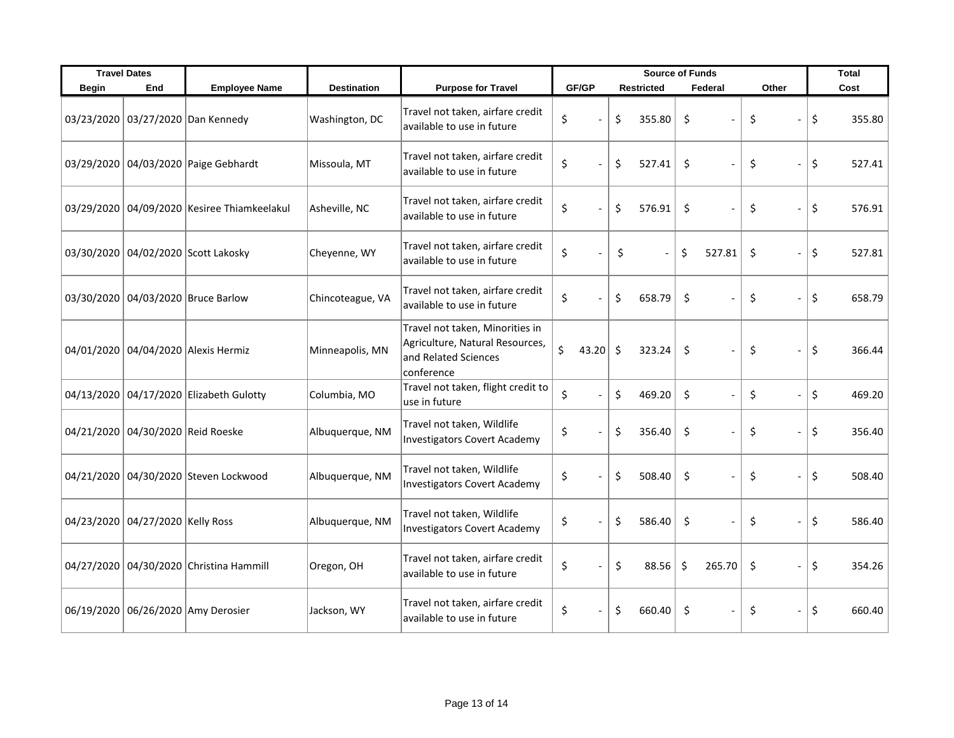| <b>Travel Dates</b> |                                   |                                                 |                    |                                                                                                          | <b>Source of Funds</b> |                   |        |              | <b>Total</b>                       |              |
|---------------------|-----------------------------------|-------------------------------------------------|--------------------|----------------------------------------------------------------------------------------------------------|------------------------|-------------------|--------|--------------|------------------------------------|--------------|
| <b>Begin</b>        | End                               | <b>Employee Name</b>                            | <b>Destination</b> | <b>Purpose for Travel</b>                                                                                | GF/GP                  | <b>Restricted</b> |        | Federal      | Other                              | Cost         |
|                     |                                   | 03/23/2020 03/27/2020 Dan Kennedy               | Washington, DC     | Travel not taken, airfare credit<br>available to use in future                                           | \$                     | \$                | 355.80 | \$           | \$                                 | \$<br>355.80 |
|                     |                                   | 03/29/2020 04/03/2020 Paige Gebhardt            | Missoula, MT       | Travel not taken, airfare credit<br>available to use in future                                           | \$                     | \$                | 527.41 | \$           | \$<br>$\overline{a}$               | \$<br>527.41 |
|                     |                                   | 03/29/2020   04/09/2020   Kesiree Thiamkeelakul | Asheville, NC      | Travel not taken, airfare credit<br>available to use in future                                           | \$                     | \$                | 576.91 | \$           | \$<br>$\overline{a}$               | \$<br>576.91 |
|                     |                                   | 03/30/2020 04/02/2020 Scott Lakosky             | Cheyenne, WY       | Travel not taken, airfare credit<br>available to use in future                                           | \$                     | \$                |        | \$<br>527.81 | \$<br>$\overline{a}$               | \$<br>527.81 |
|                     |                                   | 03/30/2020 04/03/2020 Bruce Barlow              | Chincoteague, VA   | Travel not taken, airfare credit<br>available to use in future                                           | \$                     | \$                | 658.79 | \$           | \$<br>$\overline{a}$               | \$<br>658.79 |
|                     |                                   | 04/01/2020 04/04/2020 Alexis Hermiz             | Minneapolis, MN    | Travel not taken, Minorities in<br>Agriculture, Natural Resources,<br>and Related Sciences<br>conference | \$<br>43.20            | \$                | 323.24 | \$           | \$<br>$\qquad \qquad \blacksquare$ | \$<br>366.44 |
|                     |                                   | 04/13/2020 04/17/2020 Elizabeth Gulotty         | Columbia, MO       | Travel not taken, flight credit to<br>use in future                                                      | \$                     | \$                | 469.20 | \$           | \$<br>$\overline{a}$               | \$<br>469.20 |
|                     | 04/21/2020 04/30/2020 Reid Roeske |                                                 | Albuquerque, NM    | Travel not taken, Wildlife<br><b>Investigators Covert Academy</b>                                        | \$                     | \$                | 356.40 | \$           | \$<br>$\overline{a}$               | \$<br>356.40 |
|                     |                                   | 04/21/2020 04/30/2020 Steven Lockwood           | Albuquerque, NM    | Travel not taken, Wildlife<br><b>Investigators Covert Academy</b>                                        | \$                     | \$                | 508.40 | \$           | \$<br>$\frac{1}{2}$                | \$<br>508.40 |
|                     | 04/23/2020 04/27/2020 Kelly Ross  |                                                 | Albuquerque, NM    | Travel not taken, Wildlife<br><b>Investigators Covert Academy</b>                                        | \$                     | \$                | 586.40 | \$           | \$<br>$\frac{1}{2}$                | \$<br>586.40 |
|                     |                                   | 04/27/2020 04/30/2020 Christina Hammill         | Oregon, OH         | Travel not taken, airfare credit<br>available to use in future                                           | \$                     | \$                | 88.56  | \$<br>265.70 | \$<br>$\overline{a}$               | \$<br>354.26 |
|                     |                                   | 06/19/2020 06/26/2020 Amy Derosier              | Jackson, WY        | Travel not taken, airfare credit<br>available to use in future                                           | \$                     | \$                | 660.40 | \$           | \$<br>$\overline{a}$               | \$<br>660.40 |